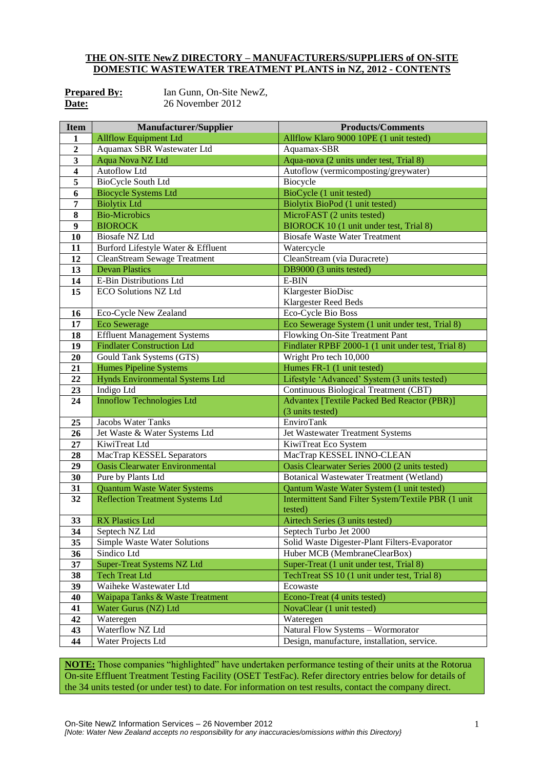## **THE ON-SITE NewZ DIRECTORY – MANUFACTURERS/SUPPLIERS of ON-SITE DOMESTIC WASTEWATER TREATMENT PLANTS in NZ, 2012 - CONTENTS**

| <b>Prepared By:</b> |  |
|---------------------|--|
| Date:               |  |

Ian Gunn, On-Site NewZ, **Date:** 26 November 2012

| <b>Item</b>             | <b>Manufacturer/Supplier</b>            | <b>Products/Comments</b>                                  |  |
|-------------------------|-----------------------------------------|-----------------------------------------------------------|--|
| $\mathbf{1}$            | <b>Allflow Equipment Ltd</b>            | Allflow Klaro 9000 10PE (1 unit tested)                   |  |
| $\overline{2}$          | Aquamax SBR Wastewater Ltd              | Aquamax-SBR                                               |  |
| $\mathbf{3}$            | Aqua Nova NZ Ltd                        | Aqua-nova (2 units under test, Trial 8)                   |  |
| $\overline{\mathbf{4}}$ | Autoflow Ltd                            | Autoflow (vermicomposting/greywater)                      |  |
| 5                       | BioCycle South Ltd                      | Biocycle                                                  |  |
| 6                       | <b>Biocycle Systems Ltd</b>             | BioCycle (1 unit tested)                                  |  |
| 7                       | <b>Biolytix Ltd</b>                     | Biolytix BioPod (1 unit tested)                           |  |
| $\bf{8}$                | <b>Bio-Microbics</b>                    | MicroFAST (2 units tested)                                |  |
| 9                       | <b>BIOROCK</b>                          | BIOROCK 10 (1 unit under test, Trial 8)                   |  |
| 10                      | Biosafe NZ Ltd                          | <b>Biosafe Waste Water Treatment</b>                      |  |
| 11                      | Burford Lifestyle Water & Effluent      | Watercycle                                                |  |
| 12                      | <b>CleanStream Sewage Treatment</b>     | CleanStream (via Duracrete)                               |  |
| 13                      | <b>Devan Plastics</b>                   | DB9000 (3 units tested)                                   |  |
| 14                      | E-Bin Distributions Ltd                 | E-BIN                                                     |  |
| 15                      | <b>ECO Solutions NZ Ltd</b>             | Klargester BioDisc                                        |  |
|                         |                                         | Klargester Reed Beds                                      |  |
| 16                      | Eco-Cycle New Zealand                   | Eco-Cycle Bio Boss                                        |  |
| 17                      | <b>Eco Sewerage</b>                     | Eco Sewerage System (1 unit under test, Trial 8)          |  |
| 18                      | <b>Effluent Management Systems</b>      | Flowking On-Site Treatment Pant                           |  |
| 19                      | <b>Findlater Construction Ltd</b>       | Findlater RPBF 2000-1 (1 unit under test, Trial 8)        |  |
| 20                      | Gould Tank Systems (GTS)                | Wright Pro tech 10,000                                    |  |
| 21                      | <b>Humes Pipeline Systems</b>           | Humes FR-1 (1 unit tested)                                |  |
| 22                      | <b>Hynds Environmental Systems Ltd</b>  | Lifestyle 'Advanced' System (3 units tested)              |  |
| 23                      | Indigo Ltd                              | Continuous Biological Treatment (CBT)                     |  |
| 24                      | <b>Innoflow Technologies Ltd</b>        | <b>Advantex [Textile Packed Bed Reactor (PBR)]</b>        |  |
|                         |                                         | (3 units tested)                                          |  |
| 25                      | Jacobs Water Tanks                      | EnviroTank                                                |  |
| 26                      | Jet Waste & Water Systems Ltd           | Jet Wastewater Treatment Systems                          |  |
| 27                      | KiwiTreat Ltd                           | KiwiTreat Eco System                                      |  |
| 28                      | MacTrap KESSEL Separators               | MacTrap KESSEL INNO-CLEAN                                 |  |
| 29                      | <b>Oasis Clearwater Environmental</b>   | Oasis Clearwater Series 2000 (2 units tested)             |  |
| 30                      | Pure by Plants Ltd                      | <b>Botanical Wastewater Treatment (Wetland)</b>           |  |
| 31                      | <b>Quantum Waste Water Systems</b>      | Qantum Waste Water System (1 unit tested)                 |  |
| 32                      | <b>Reflection Treatment Systems Ltd</b> | Intermittent Sand Filter System/Textile PBR (1 unit       |  |
|                         | <b>RX Plastics Ltd</b>                  | tested)                                                   |  |
| 33                      | Septech NZ Ltd                          | Airtech Series (3 units tested)<br>Septech Turbo Jet 2000 |  |
| 34<br>35                | Simple Waste Water Solutions            | Solid Waste Digester-Plant Filters-Evaporator             |  |
| 36                      | Sindico Ltd                             | Huber MCB (MembraneClearBox)                              |  |
| 37                      | <b>Super-Treat Systems NZ Ltd</b>       | Super-Treat (1 unit under test, Trial 8)                  |  |
| 38                      | <b>Tech Treat Ltd</b>                   | TechTreat SS 10 (1 unit under test, Trial 8)              |  |
| 39                      | Waiheke Wastewater Ltd                  | Ecowaste                                                  |  |
| 40                      | Waipapa Tanks & Waste Treatment         | Econo-Treat (4 units tested)                              |  |
| 41                      | Water Gurus (NZ) Ltd                    | NovaClear (1 unit tested)                                 |  |
| 42                      | Wateregen                               | Wateregen                                                 |  |
| 43                      | Waterflow NZ Ltd                        | Natural Flow Systems - Wormorator                         |  |
| 44                      | Water Projects Ltd                      | Design, manufacture, installation, service.               |  |

**NOTE:** Those companies "highlighted" have undertaken performance testing of their units at the Rotorua On-site Effluent Treatment Testing Facility (OSET TestFac). Refer directory entries below for details of the 34 units tested (or under test) to date. For information on test results, contact the company direct.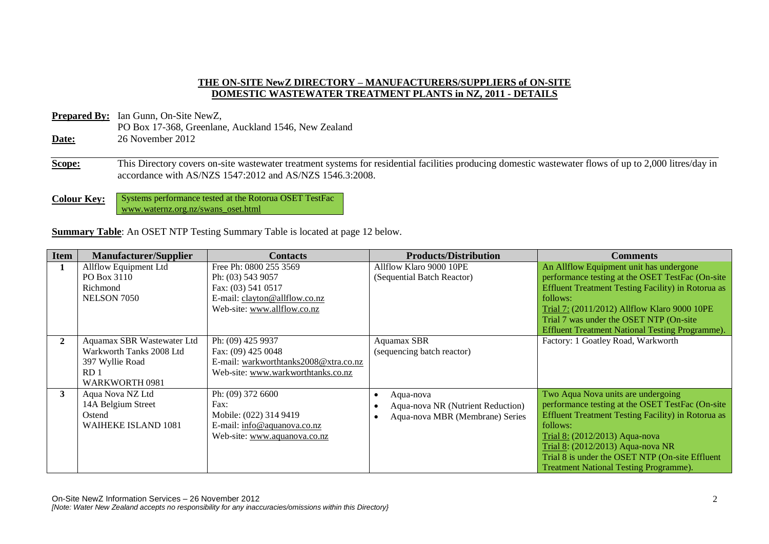## **THE ON-SITE NewZ DIRECTORY – MANUFACTURERS/SUPPLIERS of ON-SITE DOMESTIC WASTEWATER TREATMENT PLANTS in NZ, 2011 - DETAILS**

- **Prepared By:** Ian Gunn, On-Site NewZ, PO Box 17-368, Greenlane, Auckland 1546, New Zealand **Date:** 26 November 2012
- **Scope:** This Directory covers on-site wastewater treatment systems for residential facilities producing domestic wastewater flows of up to 2,000 litres/day in accordance with AS/NZS 1547:2012 and AS/NZS 1546.3:2008.
- **Colour Key:** Systems performance tested at the Rotorua OSET TestFac www.waternz.org.nz/swans\_oset.html

**Summary Table**: An OSET NTP Testing Summary Table is located at page 12 below.

| <b>Item</b>  | <b>Manufacturer/Supplier</b> | <b>Contacts</b>                       | <b>Products/Distribution</b>      | <b>Comments</b>                                           |
|--------------|------------------------------|---------------------------------------|-----------------------------------|-----------------------------------------------------------|
| 1            | Allflow Equipment Ltd        | Free Ph: 0800 255 3569                | Allflow Klaro 9000 10PE           | An Allflow Equipment unit has undergone                   |
|              | PO Box 3110                  | Ph: (03) 543 9057                     | (Sequential Batch Reactor)        | performance testing at the OSET TestFac (On-site          |
|              | Richmond                     | Fax: (03) 541 0517                    |                                   | <b>Effluent Treatment Testing Facility) in Rotorua as</b> |
|              | NELSON 7050                  | E-mail: clayton@allflow.co.nz         |                                   | follows:                                                  |
|              |                              | Web-site: www.allflow.co.nz           |                                   | Trial 7: (2011/2012) Allflow Klaro 9000 10PE              |
|              |                              |                                       |                                   | Trial 7 was under the OSET NTP (On-site)                  |
|              |                              |                                       |                                   | Effluent Treatment National Testing Programme).           |
| $\mathbf{2}$ | Aquamax SBR Wastewater Ltd   | Ph: (09) 425 9937                     | Aquamax SBR                       | Factory: 1 Goatley Road, Warkworth                        |
|              | Warkworth Tanks 2008 Ltd     | Fax: (09) 425 0048                    | (sequencing batch reactor)        |                                                           |
|              | 397 Wyllie Road              | E-mail: warkworthtanks2008@xtra.co.nz |                                   |                                                           |
|              | RD <sub>1</sub>              | Web-site: www.warkworthtanks.co.nz    |                                   |                                                           |
|              | WARKWORTH 0981               |                                       |                                   |                                                           |
| 3            | Aqua Nova NZ Ltd             | Ph: (09) 372 6600                     | Aqua-nova                         | Two Aqua Nova units are undergoing                        |
|              | 14A Belgium Street           | Fax:                                  | Aqua-nova NR (Nutrient Reduction) | performance testing at the OSET TestFac (On-site          |
|              | Ostend                       | Mobile: (022) 314 9419                | Aqua-nova MBR (Membrane) Series   | <b>Effluent Treatment Testing Facility) in Rotorua as</b> |
|              | <b>WAIHEKE ISLAND 1081</b>   | E-mail: info@aquanova.co.nz           |                                   | follows:                                                  |
|              |                              | Web-site: www.aquanova.co.nz          |                                   | Trial 8: (2012/2013) Aqua-nova                            |
|              |                              |                                       |                                   | Trial 8: (2012/2013) Aqua-nova NR                         |
|              |                              |                                       |                                   | Trial 8 is under the OSET NTP (On-site Effluent           |
|              |                              |                                       |                                   | <b>Treatment National Testing Programme).</b>             |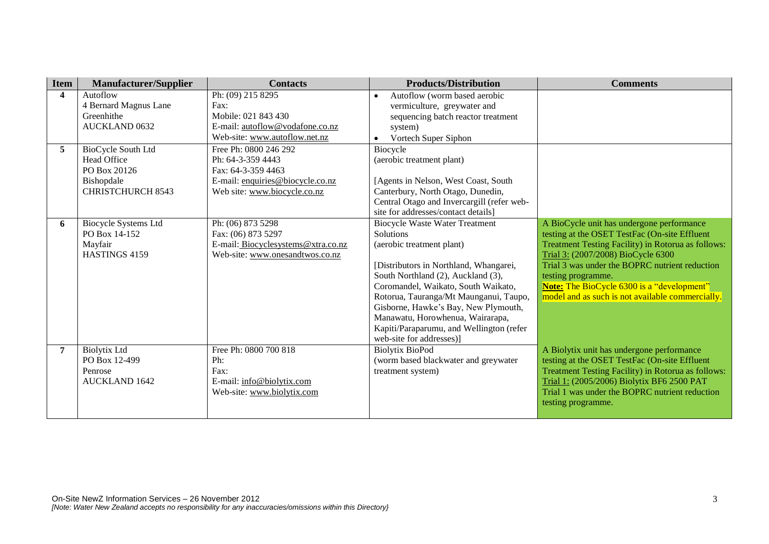| <b>Item</b>    | <b>Manufacturer/Supplier</b>                 | <b>Contacts</b>                         | <b>Products/Distribution</b>                       | <b>Comments</b>                                                                                            |
|----------------|----------------------------------------------|-----------------------------------------|----------------------------------------------------|------------------------------------------------------------------------------------------------------------|
| 4              | Autoflow                                     | Ph: (09) 215 8295                       | Autoflow (worm based aerobic<br>$\bullet$          |                                                                                                            |
|                | 4 Bernard Magnus Lane                        | Fax:                                    | vermiculture, greywater and                        |                                                                                                            |
|                | Greenhithe                                   | Mobile: 021 843 430                     | sequencing batch reactor treatment                 |                                                                                                            |
|                | <b>AUCKLAND 0632</b>                         | E-mail: autoflow@vodafone.co.nz         | system)                                            |                                                                                                            |
|                |                                              | Web-site: www.autoflow.net.nz           | Vortech Super Siphon<br>$\bullet$                  |                                                                                                            |
| 5              | BioCycle South Ltd                           | Free Ph: 0800 246 292                   | Biocycle                                           |                                                                                                            |
|                | Head Office                                  | Ph: 64-3-359 4443                       | (aerobic treatment plant)                          |                                                                                                            |
|                | PO Box 20126                                 | Fax: 64-3-359 4463                      |                                                    |                                                                                                            |
|                | Bishopdale                                   | E-mail: enquiries@biocycle.co.nz        | [Agents in Nelson, West Coast, South               |                                                                                                            |
|                | <b>CHRISTCHURCH 8543</b>                     | Web site: www.biocycle.co.nz            | Canterbury, North Otago, Dunedin,                  |                                                                                                            |
|                |                                              |                                         | Central Otago and Invercargill (refer web-         |                                                                                                            |
|                |                                              |                                         | site for addresses/contact details]                |                                                                                                            |
| 6              | <b>Biocycle Systems Ltd</b><br>PO Box 14-152 | Ph: (06) 873 5298<br>Fax: (06) 873 5297 | <b>Biocycle Waste Water Treatment</b><br>Solutions | A BioCycle unit has undergone performance                                                                  |
|                | Mayfair                                      | E-mail: Biocyclesystems@xtra.co.nz      | (aerobic treatment plant)                          | testing at the OSET TestFac (On-site Effluent<br><b>Treatment Testing Facility) in Rotorua as follows:</b> |
|                | HASTINGS 4159                                | Web-site: www.onesandtwos.co.nz         |                                                    | Trial 3: (2007/2008) BioCycle 6300                                                                         |
|                |                                              |                                         | [Distributors in Northland, Whangarei,             | Trial 3 was under the BOPRC nutrient reduction                                                             |
|                |                                              |                                         | South Northland (2), Auckland (3),                 | testing programme.                                                                                         |
|                |                                              |                                         | Coromandel, Waikato, South Waikato,                | <b>Note:</b> The BioCycle 6300 is a "development"                                                          |
|                |                                              |                                         | Rotorua, Tauranga/Mt Maunganui, Taupo,             | model and as such is not available commercially.                                                           |
|                |                                              |                                         | Gisborne, Hawke's Bay, New Plymouth,               |                                                                                                            |
|                |                                              |                                         | Manawatu, Horowhenua, Wairarapa,                   |                                                                                                            |
|                |                                              |                                         | Kapiti/Paraparumu, and Wellington (refer           |                                                                                                            |
|                |                                              |                                         | web-site for addresses)]                           |                                                                                                            |
| $\overline{7}$ | <b>Biolytix Ltd</b>                          | Free Ph: 0800 700 818                   | <b>Biolytix BioPod</b>                             | A Biolytix unit has undergone performance                                                                  |
|                | PO Box 12-499                                | Ph:                                     | (worm based blackwater and greywater               | testing at the OSET TestFac (On-site Effluent                                                              |
|                | Penrose                                      | Fax:                                    | treatment system)                                  | Treatment Testing Facility) in Rotorua as follows:                                                         |
|                | <b>AUCKLAND 1642</b>                         | E-mail: info@biolytix.com               |                                                    | Trial 1: (2005/2006) Biolytix BF6 2500 PAT                                                                 |
|                |                                              | Web-site: www.biolytix.com              |                                                    | Trial 1 was under the BOPRC nutrient reduction                                                             |
|                |                                              |                                         |                                                    | testing programme.                                                                                         |
|                |                                              |                                         |                                                    |                                                                                                            |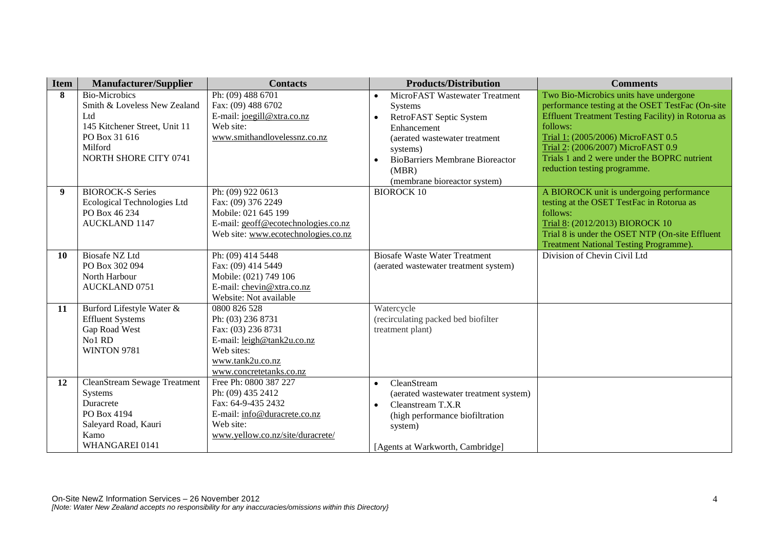| <b>Item</b> | <b>Manufacturer/Supplier</b>        | <b>Contacts</b>                                     | <b>Products/Distribution</b>           | <b>Comments</b>                                           |
|-------------|-------------------------------------|-----------------------------------------------------|----------------------------------------|-----------------------------------------------------------|
| 8           | <b>Bio-Microbics</b>                | Ph: (09) 488 6701                                   | MicroFAST Wastewater Treatment         | Two Bio-Microbics units have undergone                    |
|             | Smith & Loveless New Zealand        | Fax: (09) 488 6702                                  | Systems                                | performance testing at the OSET TestFac (On-site          |
|             | Ltd                                 | E-mail: joegill@xtra.co.nz                          | RetroFAST Septic System<br>$\bullet$   | <b>Effluent Treatment Testing Facility) in Rotorua as</b> |
|             | 145 Kitchener Street, Unit 11       | Web site:                                           | Enhancement                            | follows:                                                  |
|             | PO Box 31 616                       | www.smithandlovelessnz.co.nz                        | (aerated wastewater treatment          | Trial 1: (2005/2006) MicroFAST 0.5                        |
|             | Milford                             |                                                     | systems)                               | Trial 2: (2006/2007) MicroFAST 0.9                        |
|             | NORTH SHORE CITY 0741               |                                                     | <b>BioBarriers Membrane Bioreactor</b> | Trials 1 and 2 were under the BOPRC nutrient              |
|             |                                     |                                                     | (MBR)                                  | reduction testing programme.                              |
|             |                                     |                                                     | (membrane bioreactor system)           |                                                           |
| 9           | <b>BIOROCK-S Series</b>             | Ph: (09) 922 0613                                   | <b>BIOROCK 10</b>                      | A BIOROCK unit is undergoing performance                  |
|             | Ecological Technologies Ltd         | Fax: (09) 376 2249                                  |                                        | testing at the OSET TestFac in Rotorua as                 |
|             | PO Box 46 234                       | Mobile: 021 645 199                                 |                                        | follows:                                                  |
|             | <b>AUCKLAND 1147</b>                | E-mail: geoff@ecotechnologies.co.nz                 |                                        | Trial 8: (2012/2013) BIOROCK 10                           |
|             |                                     | Web site: www.ecotechnologies.co.nz                 |                                        | Trial 8 is under the OSET NTP (On-site Effluent           |
|             |                                     |                                                     |                                        | <b>Treatment National Testing Programme).</b>             |
| 10          | <b>Biosafe NZ Ltd</b>               | Ph: (09) 414 5448                                   | <b>Biosafe Waste Water Treatment</b>   | Division of Chevin Civil Ltd                              |
|             | PO Box 302 094                      | Fax: (09) 414 5449                                  | (aerated wastewater treatment system)  |                                                           |
|             | North Harbour                       | Mobile: (021) 749 106                               |                                        |                                                           |
|             | <b>AUCKLAND 0751</b>                | E-mail: chevin@xtra.co.nz<br>Website: Not available |                                        |                                                           |
| 11          | Burford Lifestyle Water &           | 0800 826 528                                        | Watercycle                             |                                                           |
|             | <b>Effluent Systems</b>             | Ph: (03) 236 8731                                   | (recirculating packed bed biofilter    |                                                           |
|             | Gap Road West                       | Fax: (03) 236 8731                                  | treatment plant)                       |                                                           |
|             | No1 RD                              | E-mail: leigh@tank2u.co.nz                          |                                        |                                                           |
|             | WINTON 9781                         | Web sites:                                          |                                        |                                                           |
|             |                                     | www.tank2u.co.nz                                    |                                        |                                                           |
|             |                                     | www.concretetanks.co.nz                             |                                        |                                                           |
| 12          | <b>CleanStream Sewage Treatment</b> | Free Ph: 0800 387 227                               | CleanStream                            |                                                           |
|             | Systems                             | Ph: (09) 435 2412                                   | (aerated wastewater treatment system)  |                                                           |
|             | Duracrete                           | Fax: 64-9-435 2432                                  | Cleanstream T.X.R<br>$\bullet$         |                                                           |
|             | PO Box 4194                         | E-mail: info@duracrete.co.nz                        | (high performance biofiltration        |                                                           |
|             | Saleyard Road, Kauri                | Web site:                                           | system)                                |                                                           |
|             | Kamo                                | www.yellow.co.nz/site/duracrete/                    |                                        |                                                           |
|             | WHANGAREI 0141                      |                                                     | [Agents at Warkworth, Cambridge]       |                                                           |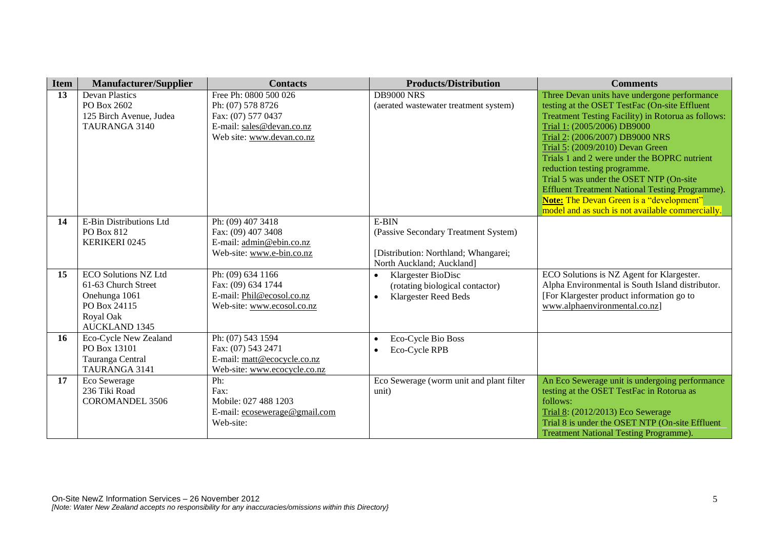| <b>Item</b> | <b>Manufacturer/Supplier</b>          | <b>Contacts</b>                                       | <b>Products/Distribution</b>             | <b>Comments</b>                                                     |
|-------------|---------------------------------------|-------------------------------------------------------|------------------------------------------|---------------------------------------------------------------------|
| 13          | <b>Devan Plastics</b>                 | Free Ph: 0800 500 026                                 | <b>DB9000 NRS</b>                        | Three Devan units have undergone performance                        |
|             | PO Box 2602                           | Ph: (07) 578 8726                                     | (aerated wastewater treatment system)    | testing at the OSET TestFac (On-site Effluent                       |
|             | 125 Birch Avenue, Judea               | Fax: (07) 577 0437                                    |                                          | <b>Treatment Testing Facility) in Rotorua as follows:</b>           |
|             | TAURANGA 3140                         | E-mail: sales@devan.co.nz                             |                                          | Trial 1: (2005/2006) DB9000                                         |
|             |                                       | Web site: www.devan.co.nz                             |                                          | Trial 2: (2006/2007) DB9000 NRS<br>Trial 5: (2009/2010) Devan Green |
|             |                                       |                                                       |                                          | Trials 1 and 2 were under the BOPRC nutrient                        |
|             |                                       |                                                       |                                          | reduction testing programme.                                        |
|             |                                       |                                                       |                                          | Trial 5 was under the OSET NTP (On-site                             |
|             |                                       |                                                       |                                          | <b>Effluent Treatment National Testing Programme).</b>              |
|             |                                       |                                                       |                                          | <b>Note:</b> The Devan Green is a "development"                     |
|             |                                       |                                                       |                                          | model and as such is not available commercially.                    |
| 14          | E-Bin Distributions Ltd               | Ph: (09) 407 3418                                     | E-BIN                                    |                                                                     |
|             | PO Box 812                            | Fax: (09) 407 3408                                    | (Passive Secondary Treatment System)     |                                                                     |
|             | <b>KERIKERI 0245</b>                  | E-mail: admin@ebin.co.nz<br>Web-site: www.e-bin.co.nz | [Distribution: Northland; Whangarei;     |                                                                     |
|             |                                       |                                                       | North Auckland; Auckland]                |                                                                     |
| 15          | <b>ECO Solutions NZ Ltd</b>           | Ph: (09) 634 1166                                     | Klargester BioDisc                       | ECO Solutions is NZ Agent for Klargester.                           |
|             | 61-63 Church Street                   | Fax: (09) 634 1744                                    | (rotating biological contactor)          | Alpha Environmental is South Island distributor.                    |
|             | Onehunga 1061                         | E-mail: Phil@ecosol.co.nz                             | <b>Klargester Reed Beds</b><br>$\bullet$ | [For Klargester product information go to                           |
|             | PO Box 24115                          | Web-site: www.ecosol.co.nz                            |                                          | www.alphaenvironmental.co.nz]                                       |
|             | Royal Oak                             |                                                       |                                          |                                                                     |
|             | <b>AUCKLAND 1345</b>                  |                                                       |                                          |                                                                     |
| 16          | Eco-Cycle New Zealand<br>PO Box 13101 | Ph: (07) 543 1594<br>Fax: (07) 543 2471               | Eco-Cycle Bio Boss<br>$\bullet$          |                                                                     |
|             | Tauranga Central                      | E-mail: matt@ecocycle.co.nz                           | Eco-Cycle RPB<br>$\bullet$               |                                                                     |
|             | TAURANGA 3141                         | Web-site: www.ecocycle.co.nz                          |                                          |                                                                     |
| 17          | Eco Sewerage                          | Ph:                                                   | Eco Sewerage (worm unit and plant filter | An Eco Sewerage unit is undergoing performance                      |
|             | 236 Tiki Road                         | Fax:                                                  | unit)                                    | testing at the OSET TestFac in Rotorua as                           |
|             | <b>COROMANDEL 3506</b>                | Mobile: 027 488 1203                                  |                                          | follows:                                                            |
|             |                                       | E-mail: ecosewerage@gmail.com                         |                                          | Trial 8: (2012/2013) Eco Sewerage                                   |
|             |                                       | Web-site:                                             |                                          | Trial 8 is under the OSET NTP (On-site Effluent                     |
|             |                                       |                                                       |                                          | <b>Treatment National Testing Programme).</b>                       |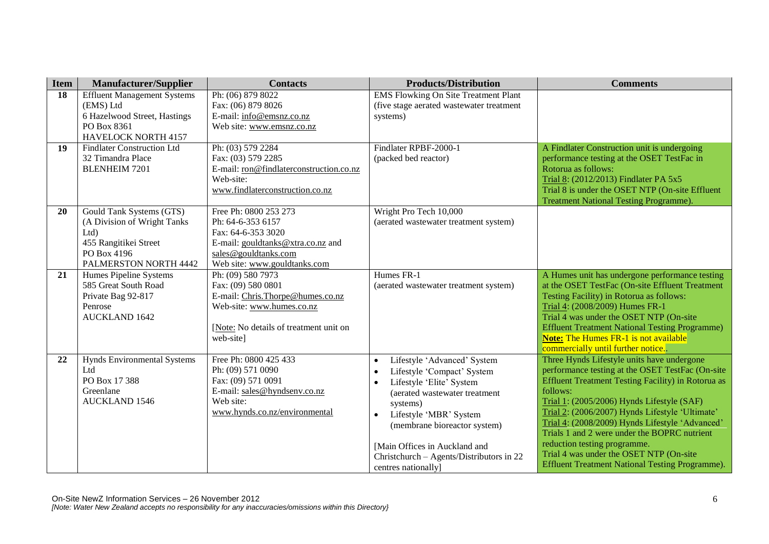| <b>Item</b> | <b>Manufacturer/Supplier</b>              | <b>Contacts</b>                            | <b>Products/Distribution</b>                | <b>Comments</b>                                                                                |
|-------------|-------------------------------------------|--------------------------------------------|---------------------------------------------|------------------------------------------------------------------------------------------------|
| 18          | <b>Effluent Management Systems</b>        | Ph: (06) 879 8022                          | <b>EMS Flowking On Site Treatment Plant</b> |                                                                                                |
|             | (EMS) Ltd                                 | Fax: (06) 879 8026                         | (five stage aerated wastewater treatment    |                                                                                                |
|             | 6 Hazelwood Street, Hastings              | E-mail: info@emsnz.co.nz                   | systems)                                    |                                                                                                |
|             | PO Box 8361                               | Web site: www.emsnz.co.nz                  |                                             |                                                                                                |
|             | <b>HAVELOCK NORTH 4157</b>                |                                            |                                             |                                                                                                |
| 19          | <b>Findlater Construction Ltd</b>         | Ph: (03) 579 2284                          | Findlater RPBF-2000-1                       | A Findlater Construction unit is undergoing                                                    |
|             | 32 Timandra Place                         | Fax: (03) 579 2285                         | (packed bed reactor)                        | performance testing at the OSET TestFac in                                                     |
|             | <b>BLENHEIM 7201</b>                      | E-mail: ron@findlaterconstruction.co.nz    |                                             | Rotorua as follows:                                                                            |
|             |                                           | Web-site:                                  |                                             | Trial 8: (2012/2013) Findlater PA 5x5<br>Trial 8 is under the OSET NTP (On-site Effluent       |
|             |                                           | www.findlaterconstruction.co.nz            |                                             | <b>Treatment National Testing Programme).</b>                                                  |
| 20          | Gould Tank Systems (GTS)                  | Free Ph: 0800 253 273                      | Wright Pro Tech 10,000                      |                                                                                                |
|             | (A Division of Wright Tanks               | Ph: 64-6-353 6157                          | (aerated wastewater treatment system)       |                                                                                                |
|             | Ltd                                       | Fax: 64-6-353 3020                         |                                             |                                                                                                |
|             | 455 Rangitikei Street                     | E-mail: gouldtanks@xtra.co.nz and          |                                             |                                                                                                |
|             | PO Box 4196                               | sales@gouldtanks.com                       |                                             |                                                                                                |
|             | PALMERSTON NORTH 4442                     | Web site: www.gouldtanks.com               |                                             |                                                                                                |
| 21          | Humes Pipeline Systems                    | Ph: (09) 580 7973                          | Humes FR-1                                  | A Humes unit has undergone performance testing                                                 |
|             | 585 Great South Road                      | Fax: (09) 580 0801                         | (aerated wastewater treatment system)       | at the OSET TestFac (On-site Effluent Treatment                                                |
|             | Private Bag 92-817                        | E-mail: Chris.Thorpe@humes.co.nz           |                                             | Testing Facility) in Rotorua as follows:                                                       |
|             | Penrose                                   | Web-site: www.humes.co.nz                  |                                             | Trial 4: (2008/2009) Humes FR-1                                                                |
|             | <b>AUCKLAND 1642</b>                      |                                            |                                             | Trial 4 was under the OSET NTP (On-site                                                        |
|             |                                           | [Note: No details of treatment unit on     |                                             | <b>Effluent Treatment National Testing Programme)</b>                                          |
|             |                                           | web-site]                                  |                                             | <b>Note:</b> The Humes FR-1 is not available                                                   |
|             |                                           |                                            |                                             | commercially until further notice                                                              |
| 22          | <b>Hynds Environmental Systems</b><br>Ltd | Free Ph: 0800 425 433<br>Ph: (09) 571 0090 | Lifestyle 'Advanced' System<br>$\bullet$    | Three Hynds Lifestyle units have undergone<br>performance testing at the OSET TestFac (On-site |
|             | PO Box 17 388                             | Fax: (09) 571 0091                         | Lifestyle 'Compact' System                  | Effluent Treatment Testing Facility) in Rotorua as                                             |
|             | Greenlane                                 | E-mail: sales@hyndsenv.co.nz               | Lifestyle 'Elite' System                    | follows:                                                                                       |
|             | <b>AUCKLAND 1546</b>                      | Web site:                                  | (aerated wastewater treatment               | Trial 1: (2005/2006) Hynds Lifestyle (SAF)                                                     |
|             |                                           | www.hynds.co.nz/environmental              | systems)<br>Lifestyle 'MBR' System          | Trial 2: (2006/2007) Hynds Lifestyle 'Ultimate'                                                |
|             |                                           |                                            | (membrane bioreactor system)                | Trial 4: (2008/2009) Hynds Lifestyle 'Advanced'                                                |
|             |                                           |                                            |                                             | Trials 1 and 2 were under the BOPRC nutrient                                                   |
|             |                                           |                                            | [Main Offices in Auckland and               | reduction testing programme.                                                                   |
|             |                                           |                                            | Christchurch - Agents/Distributors in 22    | Trial 4 was under the OSET NTP (On-site                                                        |
|             |                                           |                                            | centres nationally]                         | <b>Effluent Treatment National Testing Programme).</b>                                         |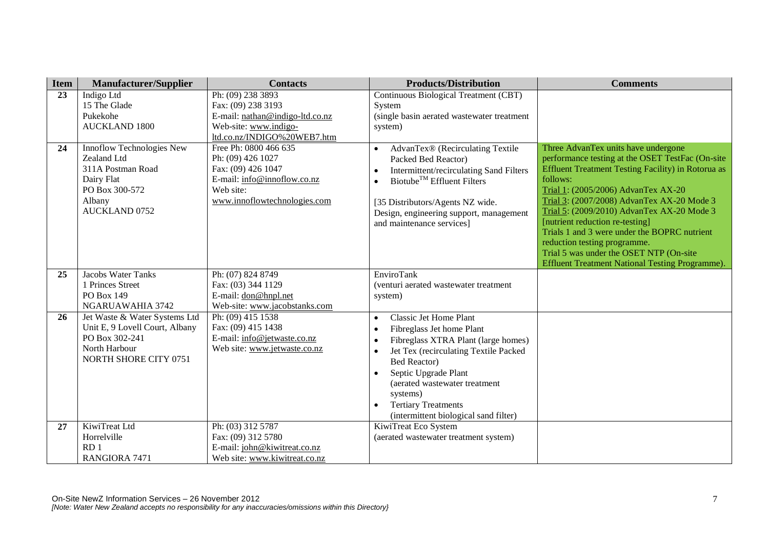| <b>Item</b> | <b>Manufacturer/Supplier</b>                                                                                                    | <b>Contacts</b>                                                                                                                              | <b>Products/Distribution</b>                                                                                                                                                                                                                                                                                        | <b>Comments</b>                                                                                                                                                                                                                                                                                                                                                                                                                                                                                                             |
|-------------|---------------------------------------------------------------------------------------------------------------------------------|----------------------------------------------------------------------------------------------------------------------------------------------|---------------------------------------------------------------------------------------------------------------------------------------------------------------------------------------------------------------------------------------------------------------------------------------------------------------------|-----------------------------------------------------------------------------------------------------------------------------------------------------------------------------------------------------------------------------------------------------------------------------------------------------------------------------------------------------------------------------------------------------------------------------------------------------------------------------------------------------------------------------|
| 23          | Indigo Ltd<br>15 The Glade                                                                                                      | Ph: (09) 238 3893<br>Fax: (09) 238 3193                                                                                                      | Continuous Biological Treatment (CBT)<br>System                                                                                                                                                                                                                                                                     |                                                                                                                                                                                                                                                                                                                                                                                                                                                                                                                             |
|             | Pukekohe<br><b>AUCKLAND 1800</b>                                                                                                | E-mail: nathan@indigo-ltd.co.nz<br>Web-site: www.indigo-<br>ltd.co.nz/INDIGO%20WEB7.htm                                                      | (single basin aerated wastewater treatment<br>system)                                                                                                                                                                                                                                                               |                                                                                                                                                                                                                                                                                                                                                                                                                                                                                                                             |
| 24          | Innoflow Technologies New<br>Zealand Ltd<br>311A Postman Road<br>Dairy Flat<br>PO Box 300-572<br>Albany<br><b>AUCKLAND 0752</b> | Free Ph: 0800 466 635<br>Ph: (09) 426 1027<br>Fax: (09) 426 1047<br>E-mail: info@innoflow.co.nz<br>Web site:<br>www.innoflowtechnologies.com | AdvanTex® (Recirculating Textile<br>Packed Bed Reactor)<br>Intermittent/recirculating Sand Filters<br>Biotube <sup>TM</sup> Effluent Filters<br>[35 Distributors/Agents NZ wide.<br>Design, engineering support, management<br>and maintenance services]                                                            | Three AdvanTex units have undergone<br>performance testing at the OSET TestFac (On-site<br><b>Effluent Treatment Testing Facility) in Rotorua as</b><br>follows:<br>Trial 1: (2005/2006) AdvanTex AX-20<br>Trial 3: (2007/2008) AdvanTex AX-20 Mode 3<br>Trial 5: (2009/2010) AdvanTex AX-20 Mode 3<br>[nutrient reduction re-testing]<br>Trials 1 and 3 were under the BOPRC nutrient<br>reduction testing programme.<br>Trial 5 was under the OSET NTP (On-site<br><b>Effluent Treatment National Testing Programme).</b> |
| 25          | <b>Jacobs Water Tanks</b><br>1 Princes Street<br>PO Box 149<br>NGARUAWAHIA 3742                                                 | Ph: (07) 824 8749<br>Fax: (03) 344 1129<br>E-mail: don@hnpl.net<br>Web-site: www.jacobstanks.com                                             | EnviroTank<br>(venturi aerated wastewater treatment<br>system)                                                                                                                                                                                                                                                      |                                                                                                                                                                                                                                                                                                                                                                                                                                                                                                                             |
| 26          | Jet Waste & Water Systems Ltd<br>Unit E, 9 Lovell Court, Albany<br>PO Box 302-241<br>North Harbour<br>NORTH SHORE CITY 0751     | Ph: (09) 415 1538<br>Fax: (09) 415 1438<br>E-mail: info@jetwaste.co.nz<br>Web site: www.jetwaste.co.nz                                       | Classic Jet Home Plant<br>$\bullet$<br>Fibreglass Jet home Plant<br>Fibreglass XTRA Plant (large homes)<br>Jet Tex (recirculating Textile Packed<br><b>Bed Reactor)</b><br>Septic Upgrade Plant<br>(aerated wastewater treatment<br>systems)<br><b>Tertiary Treatments</b><br>(intermittent biological sand filter) |                                                                                                                                                                                                                                                                                                                                                                                                                                                                                                                             |
| 27          | KiwiTreat Ltd<br>Horrelville<br>RD <sub>1</sub><br>RANGIORA 7471                                                                | Ph: (03) 312 5787<br>Fax: (09) 312 5780<br>E-mail: john@kiwitreat.co.nz<br>Web site: www.kiwitreat.co.nz                                     | KiwiTreat Eco System<br>(aerated wastewater treatment system)                                                                                                                                                                                                                                                       |                                                                                                                                                                                                                                                                                                                                                                                                                                                                                                                             |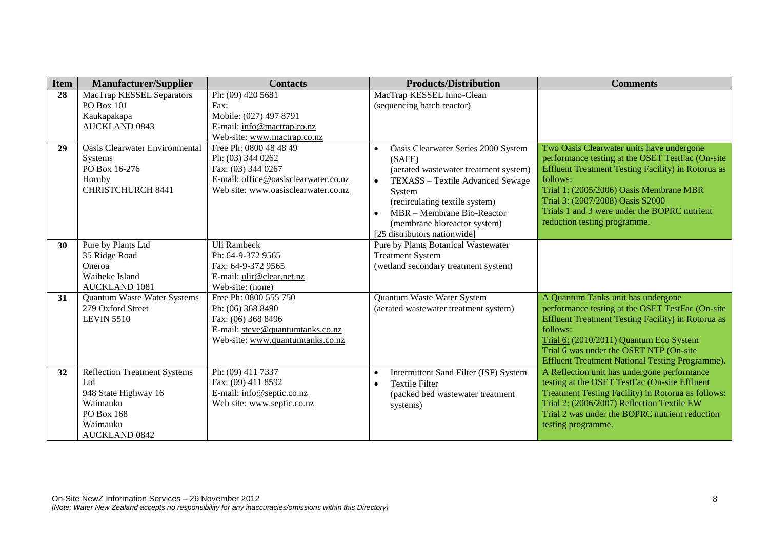| <b>Item</b> | <b>Manufacturer/Supplier</b>          | <b>Contacts</b>                      | <b>Products/Distribution</b>                  | <b>Comments</b>                                           |
|-------------|---------------------------------------|--------------------------------------|-----------------------------------------------|-----------------------------------------------------------|
| 28          | MacTrap KESSEL Separators             | Ph: (09) 420 5681                    | MacTrap KESSEL Inno-Clean                     |                                                           |
|             | PO Box 101                            | Fax:                                 | (sequencing batch reactor)                    |                                                           |
|             | Kaukapakapa                           | Mobile: (027) 497 8791               |                                               |                                                           |
|             | <b>AUCKLAND 0843</b>                  | E-mail: info@mactrap.co.nz           |                                               |                                                           |
|             |                                       | Web-site: www.mactrap.co.nz          |                                               |                                                           |
| 29          | <b>Oasis Clearwater Environmental</b> | Free Ph: 0800 48 48 49               | Oasis Clearwater Series 2000 System           | Two Oasis Clearwater units have undergone                 |
|             | Systems                               | Ph: (03) 344 0262                    | (SAFE)                                        | performance testing at the OSET TestFac (On-site          |
|             | PO Box 16-276                         | Fax: (03) 344 0267                   | (aerated wastewater treatment system)         | <b>Effluent Treatment Testing Facility) in Rotorua as</b> |
|             | Hornby                                | E-mail: office@oasisclearwater.co.nz | TEXASS - Textile Advanced Sewage<br>$\bullet$ | follows:                                                  |
|             | <b>CHRISTCHURCH 8441</b>              | Web site: www.oasisclearwater.co.nz  | System                                        | Trial 1: (2005/2006) Oasis Membrane MBR                   |
|             |                                       |                                      | (recirculating textile system)                | Trial 3: (2007/2008) Oasis S2000                          |
|             |                                       |                                      | MBR – Membrane Bio-Reactor                    | Trials 1 and 3 were under the BOPRC nutrient              |
|             |                                       |                                      | (membrane bioreactor system)                  | reduction testing programme.                              |
|             |                                       |                                      | [25 distributors nationwide]                  |                                                           |
| 30          | Pure by Plants Ltd                    | Uli Rambeck                          | Pure by Plants Botanical Wastewater           |                                                           |
|             | 35 Ridge Road                         | Ph: 64-9-372 9565                    | <b>Treatment System</b>                       |                                                           |
|             | Oneroa                                | Fax: 64-9-372 9565                   | (wetland secondary treatment system)          |                                                           |
|             | Waiheke Island                        | E-mail: ulir@clear.net.nz            |                                               |                                                           |
|             | <b>AUCKLAND 1081</b>                  | Web-site: (none)                     |                                               |                                                           |
| 31          | Quantum Waste Water Systems           | Free Ph: 0800 555 750                | Quantum Waste Water System                    | A Quantum Tanks unit has undergone                        |
|             | 279 Oxford Street                     | Ph: (06) 368 8490                    | (aerated wastewater treatment system)         | performance testing at the OSET TestFac (On-site          |
|             | <b>LEVIN 5510</b>                     | Fax: (06) 368 8496                   |                                               | <b>Effluent Treatment Testing Facility) in Rotorua as</b> |
|             |                                       | E-mail: steve@quantumtanks.co.nz     |                                               | follows:                                                  |
|             |                                       | Web-site: www.quantumtanks.co.nz     |                                               | Trial 6: (2010/2011) Quantum Eco System                   |
|             |                                       |                                      |                                               | Trial 6 was under the OSET NTP (On-site                   |
|             |                                       |                                      |                                               | <b>Effluent Treatment National Testing Programme).</b>    |
| 32          | <b>Reflection Treatment Systems</b>   | Ph: (09) 411 7337                    | Intermittent Sand Filter (ISF) System         | A Reflection unit has undergone performance               |
|             | Ltd                                   | Fax: (09) 411 8592                   | <b>Textile Filter</b>                         | testing at the OSET TestFac (On-site Effluent             |
|             | 948 State Highway 16                  | E-mail: info@septic.co.nz            | (packed bed wastewater treatment              | <b>Treatment Testing Facility) in Rotorua as follows:</b> |
|             | Waimauku                              | Web site: www.septic.co.nz           | systems)                                      | Trial 2: (2006/2007) Reflection Textile EW                |
|             | PO Box 168                            |                                      |                                               | Trial 2 was under the BOPRC nutrient reduction            |
|             | Waimauku                              |                                      |                                               | testing programme.                                        |
|             | <b>AUCKLAND 0842</b>                  |                                      |                                               |                                                           |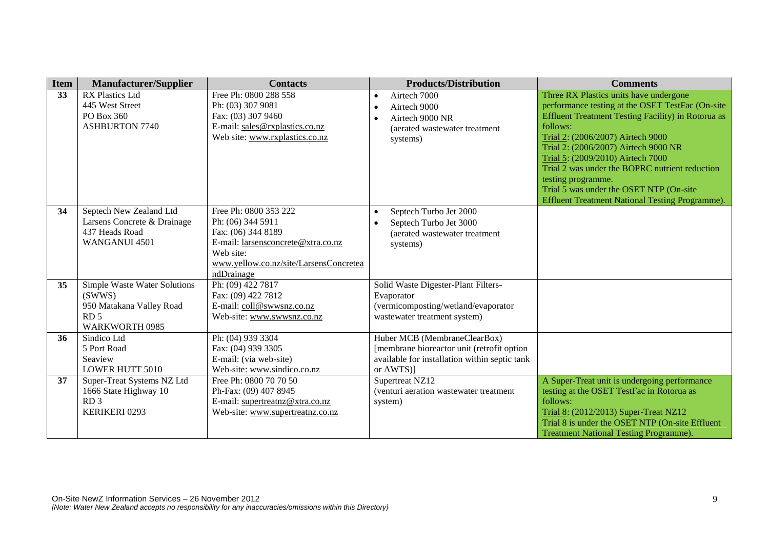| <b>Item</b> | <b>Manufacturer/Supplier</b> | <b>Contacts</b>                              | <b>Products/Distribution</b>                                               | <b>Comments</b>                                                                     |
|-------------|------------------------------|----------------------------------------------|----------------------------------------------------------------------------|-------------------------------------------------------------------------------------|
| 33          | <b>RX Plastics Ltd</b>       | Free Ph: 0800 288 558                        | Airtech 7000                                                               | Three RX Plastics units have undergone                                              |
|             | 445 West Street              | Ph: (03) 307 9081                            | Airtech 9000                                                               | performance testing at the OSET TestFac (On-site                                    |
|             | PO Box 360                   | Fax: (03) 307 9460                           | Airtech 9000 NR                                                            | <b>Effluent Treatment Testing Facility) in Rotorua as</b>                           |
|             | <b>ASHBURTON 7740</b>        | E-mail: sales@rxplastics.co.nz               | (aerated wastewater treatment)                                             | follows:                                                                            |
|             |                              | Web site: www.rxplastics.co.nz               | systems)                                                                   | Trial 2: (2006/2007) Airtech 9000                                                   |
|             |                              |                                              |                                                                            | Trial 2: (2006/2007) Airtech 9000 NR                                                |
|             |                              |                                              |                                                                            | Trial 5: (2009/2010) Airtech 7000<br>Trial 2 was under the BOPRC nutrient reduction |
|             |                              |                                              |                                                                            | testing programme.                                                                  |
|             |                              |                                              |                                                                            | Trial 5 was under the OSET NTP (On-site                                             |
|             |                              |                                              |                                                                            | <b>Effluent Treatment National Testing Programme).</b>                              |
| 34          | Septech New Zealand Ltd      | Free Ph: 0800 353 222                        | Septech Turbo Jet 2000                                                     |                                                                                     |
|             | Larsens Concrete & Drainage  | Ph: (06) 344 5911                            | Septech Turbo Jet 3000                                                     |                                                                                     |
|             | 437 Heads Road               | Fax: (06) 344 8189                           | (aerated wastewater treatment                                              |                                                                                     |
|             | WANGANUI 4501                | E-mail: larsensconcrete@xtra.co.nz           | systems)                                                                   |                                                                                     |
|             |                              | Web site:                                    |                                                                            |                                                                                     |
|             |                              | www.yellow.co.nz/site/LarsensConcretea       |                                                                            |                                                                                     |
|             |                              | ndDrainage                                   |                                                                            |                                                                                     |
| 35          | Simple Waste Water Solutions | Ph: (09) 422 7817                            | Solid Waste Digester-Plant Filters-                                        |                                                                                     |
|             | (SWWS)                       | Fax: (09) 422 7812                           | Evaporator                                                                 |                                                                                     |
|             | 950 Matakana Valley Road     | E-mail: coll@swwsnz.co.nz                    | (vermicomposting/wetland/evaporator                                        |                                                                                     |
|             | RD <sub>5</sub>              | Web-site: www.swwsnz.co.nz                   | wastewater treatment system)                                               |                                                                                     |
|             | WARKWORTH 0985               |                                              |                                                                            |                                                                                     |
| 36          | Sindico Ltd<br>5 Port Road   | Ph: (04) 939 3304                            | Huber MCB (MembraneClearBox)<br>[membrane bioreactor unit (retrofit option |                                                                                     |
|             | Seaview                      | Fax: (04) 939 3305<br>E-mail: (via web-site) | available for installation within septic tank                              |                                                                                     |
|             | <b>LOWER HUTT 5010</b>       | Web-site: www.sindico.co.nz                  | or AWTS)]                                                                  |                                                                                     |
| 37          | Super-Treat Systems NZ Ltd   | Free Ph: 0800 70 70 50                       | Supertreat NZ12                                                            | A Super-Treat unit is undergoing performance                                        |
|             | 1666 State Highway 10        | Ph-Fax: (09) 407 8945                        | (venturi aeration wastewater treatment                                     | testing at the OSET TestFac in Rotorua as                                           |
|             | RD <sub>3</sub>              | E-mail: supertreatnz@xtra.co.nz              | system)                                                                    | follows:                                                                            |
|             | KERIKERI 0293                | Web-site: www.supertreatnz.co.nz             |                                                                            | Trial 8: (2012/2013) Super-Treat NZ12                                               |
|             |                              |                                              |                                                                            | Trial 8 is under the OSET NTP (On-site Effluent                                     |
|             |                              |                                              |                                                                            | <b>Treatment National Testing Programme).</b>                                       |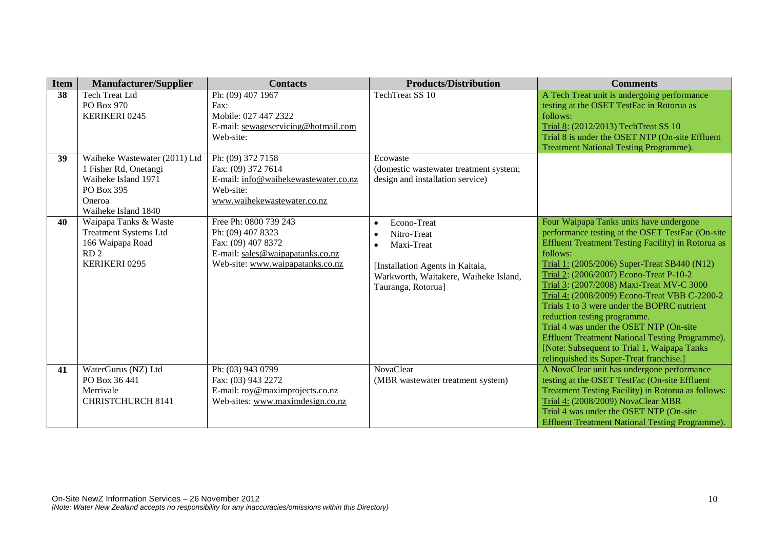| <b>Item</b> | <b>Manufacturer/Supplier</b>                     | <b>Contacts</b>                            | <b>Products/Distribution</b>                                              | <b>Comments</b>                                                                                        |
|-------------|--------------------------------------------------|--------------------------------------------|---------------------------------------------------------------------------|--------------------------------------------------------------------------------------------------------|
| 38          | <b>Tech Treat Ltd</b>                            | Ph: (09) 407 1967                          | <b>TechTreat SS 10</b>                                                    | A Tech Treat unit is undergoing performance                                                            |
|             | PO Box 970                                       | Fax:                                       |                                                                           | testing at the OSET TestFac in Rotorua as                                                              |
|             | KERIKERI 0245                                    | Mobile: 027 447 2322                       |                                                                           | follows:                                                                                               |
|             |                                                  | E-mail: sewageservicing@hotmail.com        |                                                                           | Trial 8: (2012/2013) TechTreat SS 10                                                                   |
|             |                                                  | Web-site:                                  |                                                                           | Trial 8 is under the OSET NTP (On-site Effluent                                                        |
|             |                                                  |                                            |                                                                           | <b>Treatment National Testing Programme).</b>                                                          |
| 39          | Waiheke Wastewater (2011) Ltd                    | Ph: (09) 372 7158                          | Ecowaste                                                                  |                                                                                                        |
|             | 1 Fisher Rd, Onetangi                            | Fax: (09) 372 7614                         | (domestic wastewater treatment system;                                    |                                                                                                        |
|             | Waiheke Island 1971                              | E-mail: info@waihekewastewater.co.nz       | design and installation service)                                          |                                                                                                        |
|             | PO Box 395                                       | Web-site:                                  |                                                                           |                                                                                                        |
|             | Oneroa                                           | www.waihekewastewater.co.nz                |                                                                           |                                                                                                        |
|             | Waiheke Island 1840                              |                                            |                                                                           |                                                                                                        |
| 40          | Waipapa Tanks & Waste                            | Free Ph: 0800 739 243<br>Ph: (09) 407 8323 | Econo-Treat                                                               | Four Waipapa Tanks units have undergone                                                                |
|             | <b>Treatment Systems Ltd</b><br>166 Waipapa Road | Fax: (09) 407 8372                         | Nitro-Treat                                                               | performance testing at the OSET TestFac (On-site<br>Effluent Treatment Testing Facility) in Rotorua as |
|             | RD <sub>2</sub>                                  | E-mail: sales@waipapatanks.co.nz           | Maxi-Treat                                                                | follows:                                                                                               |
|             | KERIKERI 0295                                    | Web-site: www.waipapatanks.co.nz           |                                                                           | Trial 1: (2005/2006) Super-Treat SB440 (N12)                                                           |
|             |                                                  |                                            | [Installation Agents in Kaitaia,<br>Warkworth, Waitakere, Waiheke Island, | Trial 2: (2006/2007) Econo-Treat P-10-2                                                                |
|             |                                                  |                                            | Tauranga, Rotorua]                                                        | Trial 3: (2007/2008) Maxi-Treat MV-C 3000                                                              |
|             |                                                  |                                            |                                                                           | Trial 4: (2008/2009) Econo-Treat VBB C-2200-2                                                          |
|             |                                                  |                                            |                                                                           | Trials 1 to 3 were under the BOPRC nutrient                                                            |
|             |                                                  |                                            |                                                                           | reduction testing programme.                                                                           |
|             |                                                  |                                            |                                                                           | Trial 4 was under the OSET NTP (On-site                                                                |
|             |                                                  |                                            |                                                                           | Effluent Treatment National Testing Programme).                                                        |
|             |                                                  |                                            |                                                                           | [Note: Subsequent to Trial 1, Waipapa Tanks]                                                           |
|             |                                                  |                                            |                                                                           | relinquished its Super-Treat franchise.]                                                               |
| 41          | WaterGurus (NZ) Ltd                              | Ph: (03) 943 0799                          | <b>NovaClear</b>                                                          | A NovaClear unit has undergone performance                                                             |
|             | PO Box 36 441                                    | Fax: (03) 943 2272                         | (MBR wastewater treatment system)                                         | testing at the OSET TestFac (On-site Effluent                                                          |
|             | Merrivale                                        | E-mail: roy@maximprojects.co.nz            |                                                                           | Treatment Testing Facility) in Rotorua as follows:                                                     |
|             | <b>CHRISTCHURCH 8141</b>                         | Web-sites: www.maximdesign.co.nz           |                                                                           | Trial 4: (2008/2009) NovaClear MBR                                                                     |
|             |                                                  |                                            |                                                                           | Trial 4 was under the OSET NTP (On-site                                                                |
|             |                                                  |                                            |                                                                           | <b>Effluent Treatment National Testing Programme).</b>                                                 |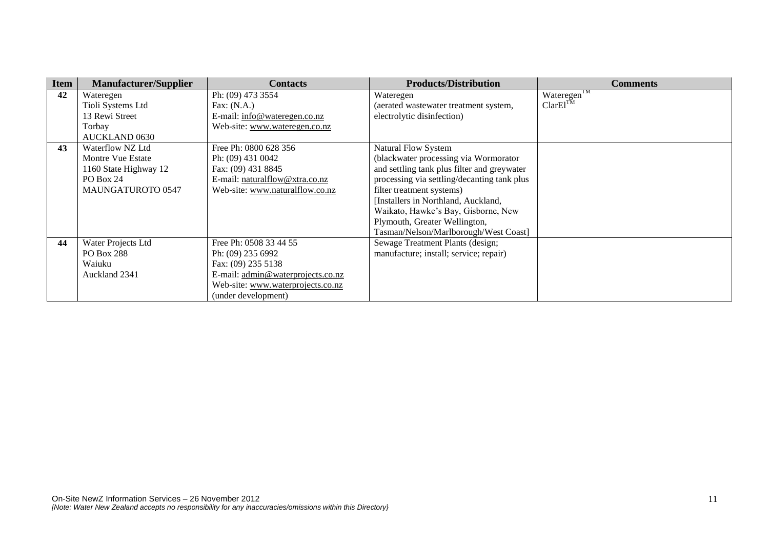| <b>Item</b> | <b>Manufacturer/Supplier</b> | <b>Contacts</b>                   | <b>Products/Distribution</b>                | <b>Comments</b>         |
|-------------|------------------------------|-----------------------------------|---------------------------------------------|-------------------------|
| 42          | Wateregen                    | Ph: (09) 473 3554                 | Wateregen                                   | Wateregen <sup>TM</sup> |
|             | Tioli Systems Ltd            | Fax: $(N.A.)$                     | (aerated wastewater treatment system,       | ClarEl <sup>TM</sup>    |
|             | 13 Rewi Street               | E-mail: info@wateregen.co.nz      | electrolytic disinfection)                  |                         |
|             | Torbay                       | Web-site: www.wateregen.co.nz     |                                             |                         |
|             | <b>AUCKLAND 0630</b>         |                                   |                                             |                         |
| 43          | Waterflow NZ Ltd             | Free Ph: 0800 628 356             | <b>Natural Flow System</b>                  |                         |
|             | Montre Vue Estate            | Ph: (09) 431 0042                 | (blackwater processing via Wormorator       |                         |
|             | 1160 State Highway 12        | Fax: (09) 431 8845                | and settling tank plus filter and greywater |                         |
|             | PO Box 24                    | E-mail: naturalflow@xtra.co.nz    | processing via settling/decanting tank plus |                         |
|             | <b>MAUNGATUROTO 0547</b>     | Web-site: www.naturalflow.co.nz   | filter treatment systems)                   |                         |
|             |                              |                                   | [Installers in Northland, Auckland,         |                         |
|             |                              |                                   | Waikato, Hawke's Bay, Gisborne, New         |                         |
|             |                              |                                   | Plymouth, Greater Wellington,               |                         |
|             |                              |                                   | Tasman/Nelson/Marlborough/West Coast]       |                         |
| 44          | Water Projects Ltd           | Free Ph: 0508 33 44 55            | Sewage Treatment Plants (design;            |                         |
|             | <b>PO Box 288</b>            | Ph: (09) 235 6992                 | manufacture; install; service; repair)      |                         |
|             | Waiuku                       | Fax: (09) 235 5138                |                                             |                         |
|             | Auckland 2341                | E-mail: admin@waterprojects.co.nz |                                             |                         |
|             |                              | Web-site: www.waterprojects.co.nz |                                             |                         |
|             |                              | (under development)               |                                             |                         |